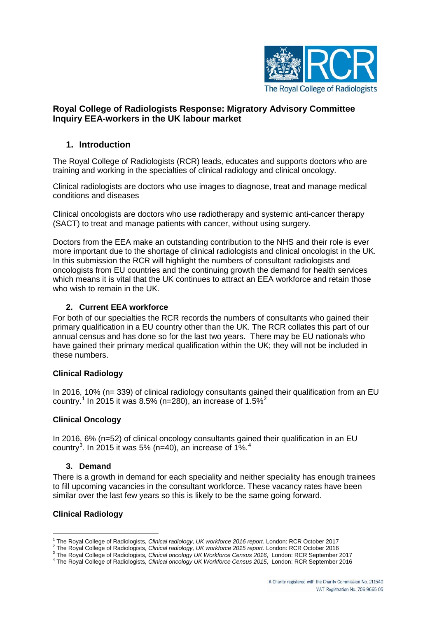

# **Royal College of Radiologists Response: Migratory Advisory Committee Inquiry EEA-workers in the UK labour market**

## **1. Introduction**

The Royal College of Radiologists (RCR) leads, educates and supports doctors who are training and working in the specialties of clinical radiology and clinical oncology.

Clinical radiologists are doctors who use images to diagnose, treat and manage medical conditions and diseases

Clinical oncologists are doctors who use radiotherapy and systemic anti-cancer therapy (SACT) to treat and manage patients with cancer, without using surgery.

Doctors from the EEA make an outstanding contribution to the NHS and their role is ever more important due to the shortage of clinical radiologists and clinical oncologist in the UK. In this submission the RCR will highlight the numbers of consultant radiologists and oncologists from EU countries and the continuing growth the demand for health services which means it is vital that the UK continues to attract an EEA workforce and retain those who wish to remain in the UK.

#### **2. Current EEA workforce**

For both of our specialties the RCR records the numbers of consultants who gained their primary qualification in a EU country other than the UK. The RCR collates this part of our annual census and has done so for the last two years. There may be EU nationals who have gained their primary medical qualification within the UK; they will not be included in these numbers.

### **Clinical Radiology**

In 2016, 10% (n= 339) of clinical radiology consultants gained their qualification from an EU country.<sup>[1](#page-0-0)</sup> In [2](#page-0-1)015 it was 8.5% (n=280), an increase of  $1.5\%^2$ 

#### **Clinical Oncology**

In 2016, 6% (n=52) of clinical oncology consultants gained their qualification in an EU country<sup>[3](#page-0-2)</sup>. In 2015 it was 5% (n=[4](#page-0-3)0), an increase of 1%.<sup>4</sup>

#### **3. Demand**

There is a growth in demand for each speciality and neither speciality has enough trainees to fill upcoming vacancies in the consultant workforce. These vacancy rates have been similar over the last few years so this is likely to be the same going forward.

#### **Clinical Radiology**

<span id="page-0-1"></span><span id="page-0-0"></span><sup>&</sup>lt;sup>1</sup> The Royal College of Radiologists, *Clinical radiology, UK workforce 2016 report.* London: RCR October 2017<br>
<sup>2</sup> The Royal College of Radiologists, *Clinical radiology, UK workforce 2015 report.* London: RCR October 2

<span id="page-0-3"></span><span id="page-0-2"></span>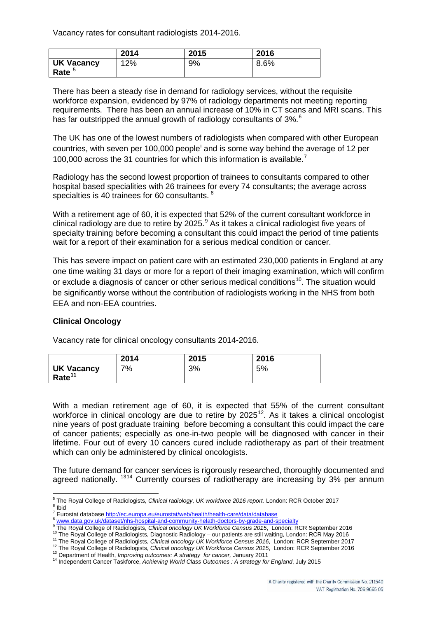Vacancy rates for consultant radiologists 2014-2016.

|                                        | 2014 | 2015 | 2016 |
|----------------------------------------|------|------|------|
| <b>UK Vacancy</b><br>Rate <sup>5</sup> | 12%  | 9%   | 8.6% |

There has been a steady rise in demand for radiology services, without the requisite workforce expansion, evidenced by 97% of radiology departments not meeting reporting requirements. There has been an annual increase of 10% in CT scans and MRI scans. This has far outstripped the annual growth of radiology consultants of 3%.<sup>[6](#page-1-1)</sup>

The UK has one of the lowest numbers of radiologists when compared with other European countr[i](#page-2-0)es, with seven per 100,000 people<sup>i</sup> and is some way behind the average of 12 per 100,000 across the 31 countries for which this information is available.<sup>[7](#page-1-2)</sup>

Radiology has the second lowest proportion of trainees to consultants compared to other hospital based specialities with 26 trainees for every 74 consultants; the average across specialties is 40 trainees for 60 consultants.<sup>[8](#page-1-3)</sup>

With a retirement age of 60, it is expected that 52% of the current consultant workforce in clinical radiology are due to retire by 2025.<sup>[9](#page-1-4)</sup> As it takes a clinical radiologist five years of specialty training before becoming a consultant this could impact the period of time patients wait for a report of their examination for a serious medical condition or cancer.

This has severe impact on patient care with an estimated 230,000 patients in England at any one time waiting 31 days or more for a report of their imaging examination, which will confirm or exclude a diagnosis of cancer or other serious medical conditions<sup>10</sup>. The situation would be significantly worse without the contribution of radiologists working in the NHS from both EEA and non-EEA countries.

#### **Clinical Oncology**

Vacancy rate for clinical oncology consultants 2014-2016.

|                                         | 2014 | 2015 | 2016 |
|-----------------------------------------|------|------|------|
| <b>UK Vacancy</b><br>Rate <sup>11</sup> | 7%   | 3%   | 5%   |

With a median retirement age of 60, it is expected that 55% of the current consultant workforce in clinical oncology are due to retire by  $2025^{12}$  $2025^{12}$  $2025^{12}$ . As it takes a clinical oncologist nine years of post graduate training before becoming a consultant this could impact the care of cancer patients; especially as one-in-two people will be diagnosed with cancer in their lifetime. Four out of every 10 cancers cured include radiotherapy as part of their treatment which can only be administered by clinical oncologists.

The future demand for cancer services is rigorously researched, thoroughly documented and agreed nationally. <sup>[13](#page-1-8)[14](#page-1-9)</sup> Currently courses of radiotherapy are increasing by 3% per annum

<span id="page-1-0"></span><sup>&</sup>lt;sup>5</sup> The Royal College of Radiologists, *Clinical radiology, UK workforce 2016 report.* London: RCR October 2017 <sup>6</sup> Ihid

<span id="page-1-4"></span><span id="page-1-3"></span>

<span id="page-1-6"></span><span id="page-1-5"></span>

<span id="page-1-2"></span><span id="page-1-1"></span><sup>&</sup>lt;sup>7</sup> Eurostat databas[e http://ec.europa.eu/eurostat/web/health/health-care/data/database](http://ec.europa.eu/eurostat/web/health/health-care/data/database)<br>
<sup>8</sup> <u>[www.data.gov.uk/dataset/nhs-hospital-and-community-helath-doctors-by-grade-and-specialty](http://www.data.gov.uk/dataset/nhs-hospital-and-community-helath-doctors-by-grade-and-specialty)<br>
<sup>8</sup> The Royal College of Radiologists</u>

<span id="page-1-7"></span>

<span id="page-1-9"></span><span id="page-1-8"></span>